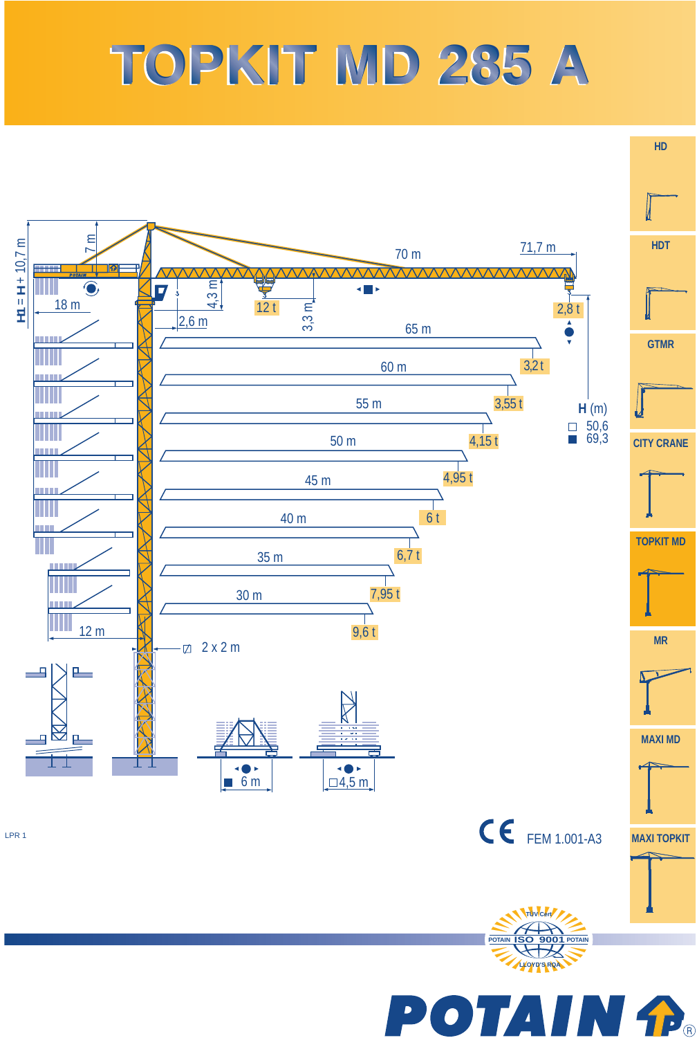## **TOPKIT MD 285 A TOPKIT MD 285 A**



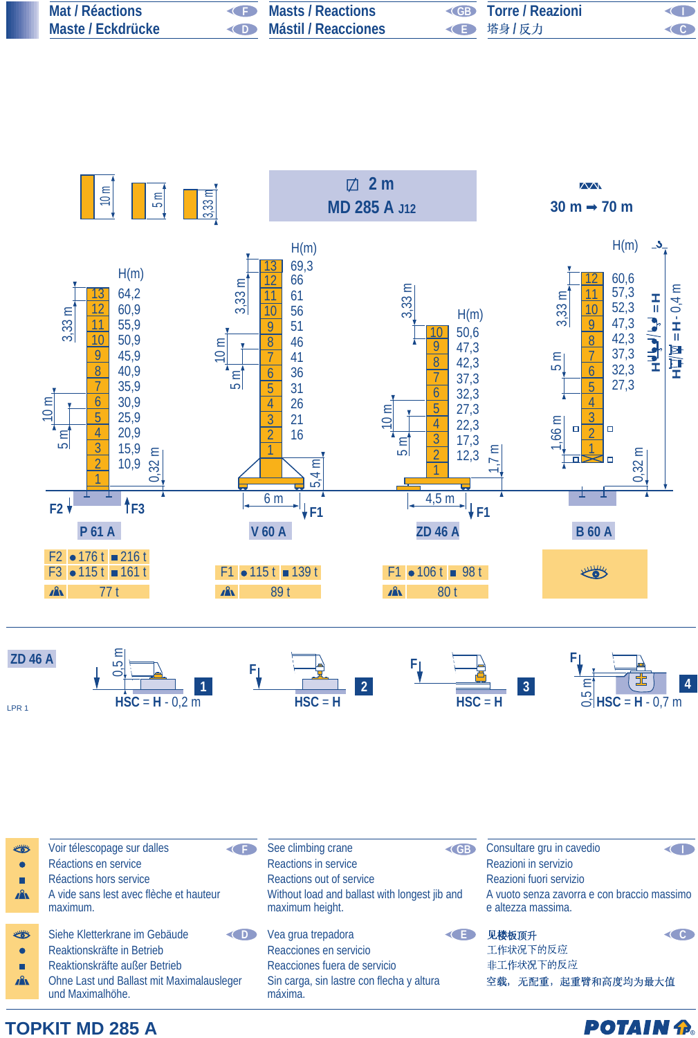| Mat / Réactions   | Masts / Reactions                     | <b>Example 2 Torre / Reazioni</b> | OD                 |
|-------------------|---------------------------------------|-----------------------------------|--------------------|
| Maste / Eckdrücke | <b>Example 20 Mástil / Reacciones</b> | ◆ 下 塔身/反力                         | $\left($ $\right)$ |





**POTAIN P** 

## **TOPKIT MD 285 A**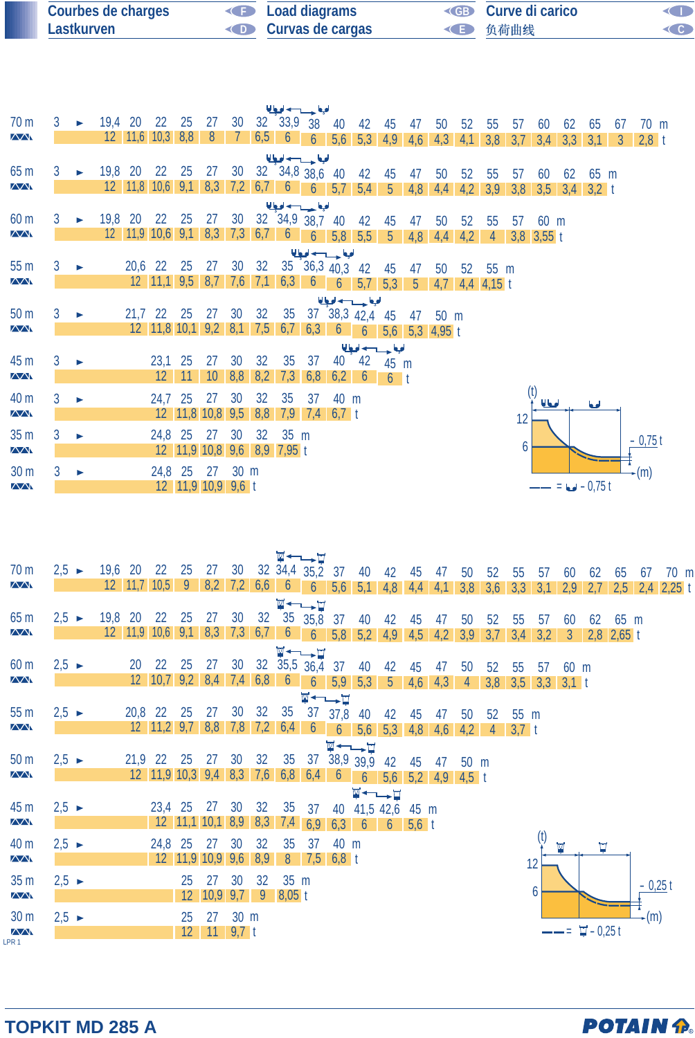| Courbes de charges | <b>Example 2</b> Load diagrams | <b>ED</b> Curve di carico |  |
|--------------------|--------------------------------|---------------------------|--|
| Lastkurven         | <b>Curvas de cargas</b>        | ◆ 负荷曲线                    |  |

|                               |   |                       |         |                 |                      |                                                            |     |                 |      |             | الملحا حسيب اديا                    |               |                 |                |                  |                 |     |                |     |                |                  |           |              |                |  |
|-------------------------------|---|-----------------------|---------|-----------------|----------------------|------------------------------------------------------------|-----|-----------------|------|-------------|-------------------------------------|---------------|-----------------|----------------|------------------|-----------------|-----|----------------|-----|----------------|------------------|-----------|--------------|----------------|--|
| 70 <sub>m</sub>               | 3 |                       | 19,4 20 |                 | 22                   | 25                                                         | 27  | 30              |      | 32 33,9 38  |                                     | 40            | 42              | 45             | 47               | 50              | 52  | 55             | 57  | 60             | 62               | 65        | 67           | $70 \text{ m}$ |  |
| $\sqrt{N}$                    |   |                       |         |                 | $12$ 11,6 10,3 8,8   |                                                            | 8   |                 | 6,56 |             | $\overline{6}$                      | 5,6           | 5,3             | 4,9            | 4,6              | 4,3             | 4,1 | 3,8            | 3,7 | 3,4            | 3,3              | 3,1       | $\mathbf{3}$ | $2,8$ t        |  |
|                               |   |                       |         |                 |                      |                                                            |     |                 |      |             | الملجعا حسسب اديعا                  |               |                 |                |                  |                 |     |                |     |                |                  |           |              |                |  |
| 65 <sub>m</sub>               | 3 |                       | 19,8 20 |                 | 22                   | 25                                                         | 27  | 30              |      |             | $32 \quad 34,8 \quad 38,6 \quad 40$ |               | 42              | 45             | 47               | 50              | 52  | 55             | 57  | 60             | 62               | 65 m      |              |                |  |
| $\sqrt{N}$                    |   |                       |         | $12 \quad 11,8$ | 10,6                 | 9,1                                                        | 8,3 | 7,2             | 6,76 |             |                                     | $6 \quad 5.7$ | 5,4             | 5 <sup>5</sup> | 4,8              | 4,4             | 4,2 | 3,9            | 3,8 | 3,5            | 3,4              | $3,2 \t1$ |              |                |  |
|                               |   |                       |         |                 |                      |                                                            |     |                 |      |             | الملجا حسيدانها                     |               |                 |                |                  |                 |     |                |     |                |                  |           |              |                |  |
| 60 <sub>m</sub>               | 3 |                       | 19,8    | 20              | 22                   | 25                                                         | 27  |                 |      |             | 30 32 34,9 38,7                     | 40            | 42              | 45             | 47               | 50              | 52  | 55             | -57 | $60 \text{ m}$ |                  |           |              |                |  |
| $\sqrt{N}$                    |   |                       |         |                 | $12$ 11,9 10,6 9,1   |                                                            | 8,3 |                 |      | $7,3$ 6,7 6 | $\overline{6}$                      | 5,8           | 5,5             | 5 <sub>1</sub> | 4,8              | 4,4             | 4,2 | $\overline{4}$ |     | $3,8$ 3,55 t   |                  |           |              |                |  |
|                               |   |                       |         |                 |                      |                                                            |     |                 |      |             | الملجا حسب لحيا                     |               |                 |                |                  |                 |     |                |     |                |                  |           |              |                |  |
| 55 <sub>m</sub>               | 3 | ▶                     |         | 20,6 22         |                      | 25                                                         | 27  | 30 <sup>°</sup> | 32   |             | $35\quad 36,3\quad 40,3$            |               | 42              | 45             | 47               | 50              | 52  | 55 m           |     |                |                  |           |              |                |  |
| $\sqrt{N}$                    |   |                       |         |                 | $12$ 11,1 9,5        |                                                            | 8.7 | 7,6             | 7,1  | 6,3         | 6 <sup>1</sup>                      | 6             | 5,7             | 5,3            | $5^{\circ}$      | 4.7             |     | $4,4$ 4,15 t   |     |                |                  |           |              |                |  |
|                               |   |                       |         |                 |                      |                                                            |     |                 |      |             |                                     |               | الملجا حسب لحبا |                |                  |                 |     |                |     |                |                  |           |              |                |  |
| 50 <sub>m</sub>               | 3 |                       |         | 21,7            | 22                   | 25                                                         | 27  | 30 <sup>°</sup> | 32   |             |                                     |               | 35 37 38,3 42,4 | 45             | 47               | 50 <sub>m</sub> |     |                |     |                |                  |           |              |                |  |
| $\sqrt{N}$                    |   |                       |         |                 | 12 11,8 10,1 9,2 8,1 |                                                            |     |                 |      |             | $7,5$ 6,7 6,3                       | 6             | $\overline{6}$  |                | $5,6$ 5,3 4,95 t |                 |     |                |     |                |                  |           |              |                |  |
|                               |   |                       |         |                 |                      |                                                            |     |                 |      |             |                                     |               | الملجا حسب اديا |                |                  |                 |     |                |     |                |                  |           |              |                |  |
| 45 m                          | 3 | $\blacktriangleright$ |         |                 | 23,1 25              |                                                            | 27  | 30              | 32   | 35          | 37                                  | 40            | 42              | 45 m           |                  |                 |     |                |     |                |                  |           |              |                |  |
| $\sqrt{N}$                    |   |                       |         |                 |                      |                                                            | 10  | 8,8             | 8,2  | 7,3         | 6,8                                 | 6,2           | $\mathfrak b$   | 6 <sup>1</sup> |                  |                 |     |                |     |                |                  |           |              |                |  |
| 40 m                          | 3 | ь                     |         |                 | 24,7 25              |                                                            | 27  | 30              | 32   | 35          | 37                                  | 40 m          |                 |                |                  |                 |     |                |     | <b>Ulad</b>    |                  | أهمأ      |              |                |  |
| $\sqrt{N}$                    |   |                       |         |                 |                      | $12 \begin{array}{ c c c } \hline 11,8 & 10,8 \end{array}$ |     | 9,5             | 8,8  | 7,9         |                                     | $7,4$ 6,7 t   |                 |                |                  |                 |     |                | 12  |                |                  |           |              |                |  |
| 35 <sub>m</sub>               | 3 | ь                     |         |                 | 24,8 25              |                                                            | 27  | 30              | 32   | 35 m        |                                     |               |                 |                |                  |                 |     |                |     |                |                  |           |              |                |  |
| $\sqrt{N}$                    |   |                       |         |                 |                      | 12 11,9 10,8                                               |     | 9,6             |      | 8,9 7,95 t  |                                     |               |                 |                |                  |                 |     |                | 6   |                |                  |           |              | $-0,75t$       |  |
|                               |   |                       |         |                 |                      |                                                            |     |                 |      |             |                                     |               |                 |                |                  |                 |     |                |     |                |                  |           |              |                |  |
| 30 <sub>m</sub><br>$\sqrt{N}$ | 3 | ь                     |         |                 | 24,8 25              | 12 11,9 10,9 9,6 t                                         | 27  | 30 m            |      |             |                                     |               |                 |                |                  |                 |     |                |     |                | $-- = 6 - 0.75t$ |           |              | -(m)           |  |
|                               |   |                       |         |                 |                      |                                                            |     |                 |      |             |                                     |               |                 |                |                  |                 |     |                |     |                |                  |           |              |                |  |

| 70 <sub>m</sub><br>$\sqrt{N}$                     | $2,5 \rightarrow$ | 19,6 20 |                       | 22 25 27 30 32 34,4 35,2 37<br>$12$   11,7   10,5 | $\overline{9}$ |                              |                        |           |                  | ष—∟.∀                                                            |                        | 40<br>$8,2$ 7,2 6,6 6 6 5,6 5,1                                                            | 42        | 45                | 47<br>$4,8$ $4,4$ $4,1$ $3,8$   | 50                   | 52<br>3,6 | 55<br>3,3       | 57<br>3,1             | 60<br>2,9          | 62<br>2,7      | 65                   | 67     | 70 m<br>$2,5$ 2,4 2,25 t |
|---------------------------------------------------|-------------------|---------|-----------------------|---------------------------------------------------|----------------|------------------------------|------------------------|-----------|------------------|------------------------------------------------------------------|------------------------|--------------------------------------------------------------------------------------------|-----------|-------------------|---------------------------------|----------------------|-----------|-----------------|-----------------------|--------------------|----------------|----------------------|--------|--------------------------|
| 65 <sub>m</sub><br>$\sqrt{N}$                     | $2,5 \rightarrow$ | 19,8    | 20<br>$12 \quad 11,9$ | 22<br>10,6                                        | 25<br>9,1      | 27<br>8,3                    | 30 <sup>°</sup><br>7,3 | 32<br>6,7 | 6 <sup>7</sup>   | <b>W←→H</b><br>35 35,8 37<br>$\overline{6}$                      |                        | 40<br>$\begin{array}{ c c c c c c c c } \hline 5,8 & 5,2 & 4,9 & 4,5 \ \hline \end{array}$ | 42        | 45                | 47<br>4,2                       | 50<br>3,9            | 52<br>3,7 | 55<br>3,4       | 57<br>3,2             | 60<br>$\mathbf{3}$ | 62             | 65 m<br>$2,8$ 2,65 t |        |                          |
| 60 <sub>m</sub><br>$\sqrt{N}$                     | $2,5 \rightarrow$ |         | 20                    | 22<br>$12 \quad 10,7$                             | 25             | 27<br>$9,2$ 8,4 7,4 6,8      | 30                     |           | $6\overline{6}$  | $\Psi \leftarrow \rightarrow \Box$<br>$32 \quad 35.5 \quad 36.4$ | 37                     | 40<br>$6$ $5,9$ $5,3$ $5$                                                                  | 42        | 45<br>4,6         | 47<br>4,3                       | 50<br>$\overline{4}$ | 52<br>3,8 | 55              | 57<br>$3,5$ 3,3 3,1 t | $60 \text{ m}$     |                |                      |        |                          |
| 55 <sub>m</sub><br>$\sqrt{N}$                     | $2,5 \rightarrow$ |         | 20,8 22               | $12$ $11,2$ 9,7                                   | 25             | 27<br>8,8                    | 30<br>7,8              | 32<br>7,2 | 35<br>6,4        | <b>W←←→⊔</b><br>37<br>$\boldsymbol{6}$                           | 37,8<br>$\overline{6}$ | 40<br>5,6                                                                                  | 42<br>5,3 | 45<br>4,8         | 47<br>4,6                       | 50<br>4,2            | 52<br>4   | 55 m<br>$3,7$ t |                       |                    |                |                      |        |                          |
| 50 <sub>m</sub><br>$\sqrt{N}$                     | $2,5 \rightarrow$ |         |                       | 21,9 22<br>$12$ 11,9 10,3 9,4 8,3                 | 25             | 27                           | 30                     | 32<br>7,6 | 35               | $6,8$ 6,4                                                        | 6 <sup>1</sup>         | <b>W←–––⊔</b><br>$37$ $38,9$ $39.9$<br>6 <sup>1</sup>                                      | 42        | 45                | 47<br>$5,6$ $5,2$ $4,9$ $4,5$ t | $50 \text{ m}$       |           |                 |                       |                    |                |                      |        |                          |
| 45 <sub>m</sub><br>$\sqrt{4}$                     | $2,5 \rightarrow$ |         |                       | $23,4$ 25                                         |                | 27<br>$12$ 11,1 10,1 8,9 8,3 | 30                     | 32        | 35<br>7,4        | 37<br>6,9                                                        | 40<br>6,3              | <b>W←→⊔</b><br>41,5 42,6<br>- 6                                                            |           | 45 m<br>$6$ 5,6 t |                                 |                      |           |                 |                       |                    |                |                      |        |                          |
| 40 m<br>$\sqrt{N}$                                | $2,5 \rightarrow$ |         |                       | 24,8 25                                           |                | 27<br>12 11,9 10,9           | 30<br>9,6              | 32<br>8,9 | 35<br>8          | 37<br>7,5                                                        | 40 m<br>$6,8$ t        |                                                                                            |           |                   |                                 |                      |           |                 | 12                    | M                  | Ħ              |                      |        |                          |
| 35 <sub>m</sub><br>$\sqrt{N}$                     | $2,5 \rightarrow$ |         |                       |                                                   | 25<br>12       | 27<br>10,9                   | 30<br>9,7              | 32<br>9   | 35 m<br>$8,05$ t |                                                                  |                        |                                                                                            |           |                   |                                 |                      |           |                 | 6                     |                    |                |                      | 0,25   |                          |
| 30 <sub>m</sub><br>$\sqrt{N}$<br>LPR <sub>1</sub> | $2,5 \rightarrow$ |         |                       |                                                   | 25<br>12       | 27<br>11                     | 30 m<br>$9,7$ t        |           |                  |                                                                  |                        |                                                                                            |           |                   |                                 |                      |           |                 |                       | $=$                | $\Box - 0.25t$ |                      | $-(m)$ |                          |

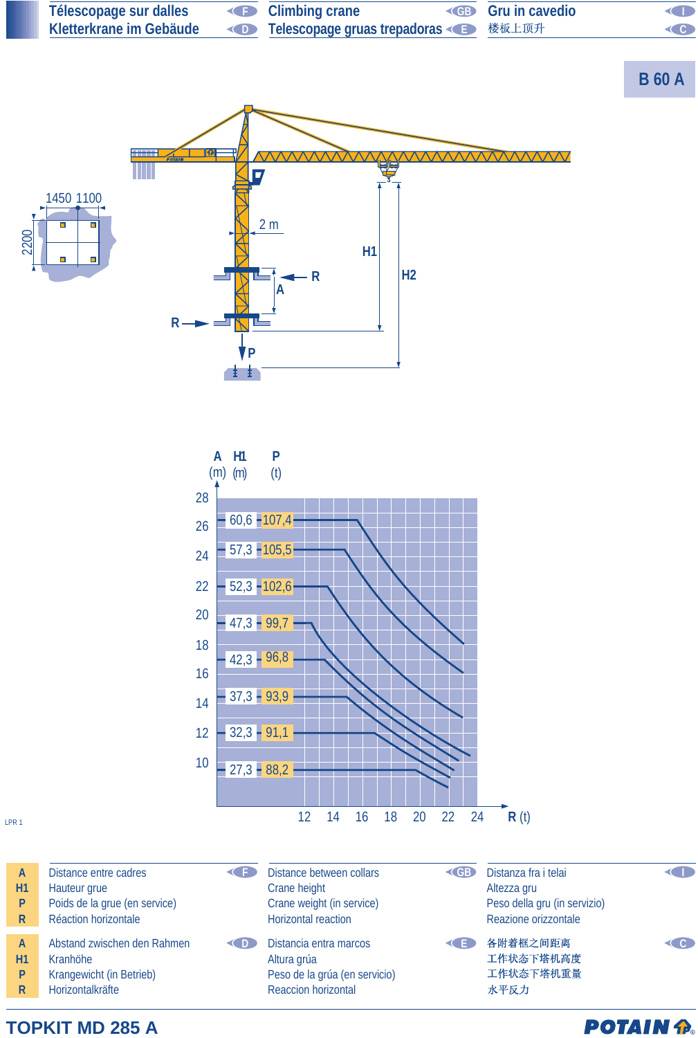

**TOPKIT MD 285 A**

**POTAIN P.**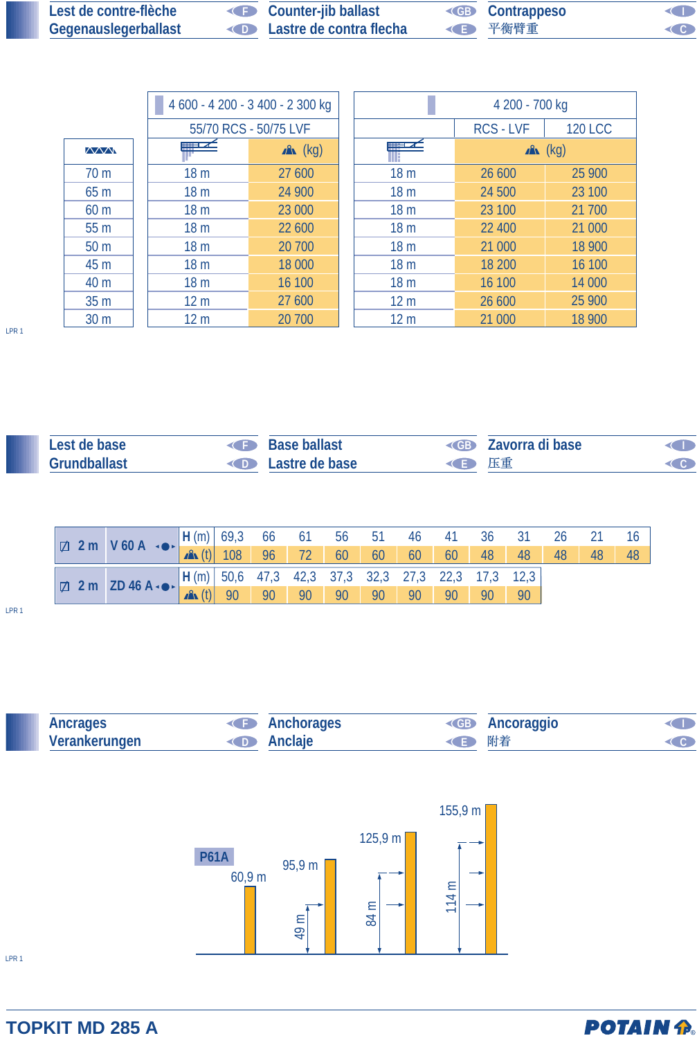| Lest de contre-flèche | <b>Counter-jib ballast</b>               | <b>EB</b> Contrappeso | $\triangleleft$            |
|-----------------------|------------------------------------------|-----------------------|----------------------------|
| Gegenauslegerballast  | <b>Example 2</b> Lastre de contra flecha | ◆ 平衡臂重                | $\textcircled{\textsf{c}}$ |

|                 |                 | 4 600 - 4 200 - 3 400 - 2 300 kg |                 | 4 200 - 700 kg   |                |
|-----------------|-----------------|----------------------------------|-----------------|------------------|----------------|
|                 |                 | 55/70 RCS - 50/75 LVF            |                 | <b>RCS - LVF</b> | <b>120 LCC</b> |
| <b>AVVN</b>     | <u>mari z</u>   | $x^2$ (kg)                       |                 |                  | $x^2$ (kg)     |
| 70 <sub>m</sub> | 18 <sub>m</sub> | 27 600                           | 18 <sub>m</sub> | 26 600           | 25 900         |
| 65 m            | 18 <sub>m</sub> | 24 900                           | 18 <sub>m</sub> | 24 500           | 23 100         |
| 60 <sub>m</sub> | 18 <sub>m</sub> | 23 000                           | 18 <sub>m</sub> | 23 100           | 21 700         |
| 55 m            | 18 <sub>m</sub> | 22 600                           | 18 <sub>m</sub> | 22 400           | 21 000         |
| 50 <sub>m</sub> | 18 <sub>m</sub> | 20 700                           | 18 <sub>m</sub> | 21 000           | 18 900         |
| 45 m            | 18 <sub>m</sub> | 18 000                           | 18 <sub>m</sub> | 18 200           | 16 100         |
| 40 m            | 18 <sub>m</sub> | 16 100                           | 18 <sub>m</sub> | 16 100           | 14 000         |
| 35 <sub>m</sub> | 12 <sub>m</sub> | 27 600                           | 12 <sub>m</sub> | 26 600           | 25 900         |
| 30 <sub>m</sub> | 12 <sub>m</sub> | 20 700                           | 12 <sub>m</sub> | 21 000           | 18 900         |

LPR 1

| Lest de base        | Base ballast                    |        | <b>ED</b> Zavorra di base |  |
|---------------------|---------------------------------|--------|---------------------------|--|
| <b>Grundballast</b> | <b>Example 2</b> Lastre de base | ◆ ● 玉車 |                           |  |

|  | $\boxed{\Box 2 \text{ m} \quad V 60 \text{ A} \quad \bullet \quad \boxed{\mathsf{H}(\text{m})} \begin{bmatrix} 69.3 & 66 & 61 & 56 & 51 & 46 & 41 & 36 & 31 & 26 & 21 \\ 60 & 60 & 60 & 60 & 60 & 48 & 48 & 48 & 48 \end{bmatrix}}$                                                                                                                                            |  |  |  |  |  |  |    |
|--|--------------------------------------------------------------------------------------------------------------------------------------------------------------------------------------------------------------------------------------------------------------------------------------------------------------------------------------------------------------------------------|--|--|--|--|--|--|----|
|  |                                                                                                                                                                                                                                                                                                                                                                                |  |  |  |  |  |  | 48 |
|  | $\boxed{\text{ } \boxed{\Box \hspace{0.2cm} 2\text{ m} \hspace{0.2cm} 2\text{ m} \hspace{0.2cm} 2\text{ D} \hspace{0.2cm} 46\text{ A} \cdot \bullet \hspace{0.2cm} 8\text{ }} \hspace{0.2cm} \boxed{\text{ } H \hspace{0.2cm} (m) \hspace{0.2cm} 50.6 \hspace{0.2cm} 47.3 \hspace{0.2cm} 42.3 \hspace{0.2cm} 37.3 \hspace{0.2cm} 37.3 \hspace{0.2cm} 32.3 \hspace{0.2cm} 27.3$ |  |  |  |  |  |  |    |
|  |                                                                                                                                                                                                                                                                                                                                                                                |  |  |  |  |  |  |    |

LPR 1





LPR 1

## **TOPKIT MD 285 A**